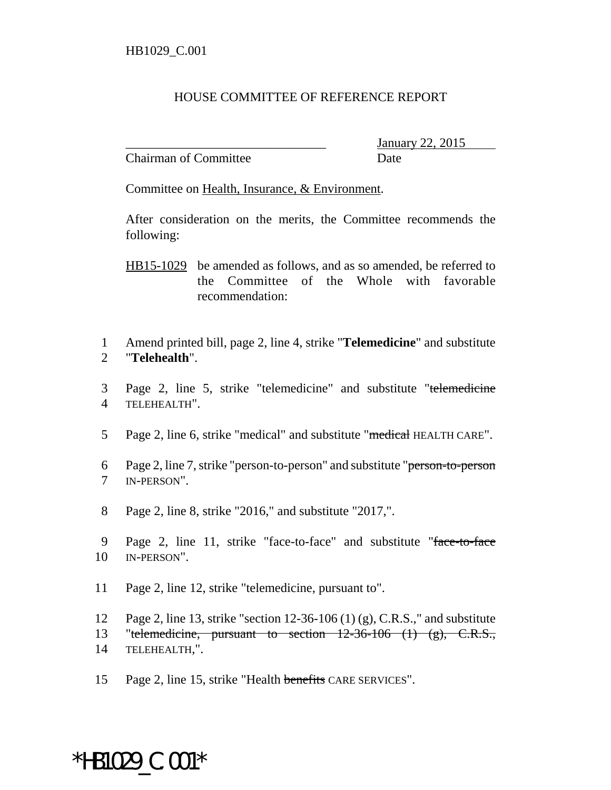## HOUSE COMMITTEE OF REFERENCE REPORT

Chairman of Committee Date

\_\_\_\_\_\_\_\_\_\_\_\_\_\_\_\_\_\_\_\_\_\_\_\_\_\_\_\_\_\_\_ January 22, 2015

Committee on Health, Insurance, & Environment.

After consideration on the merits, the Committee recommends the following:

HB15-1029 be amended as follows, and as so amended, be referred to the Committee of the Whole with favorable recommendation:

1 Amend printed bill, page 2, line 4, strike "**Telemedicine**" and substitute 2 "**Telehealth**".

- 3 Page 2, line 5, strike "telemedicine" and substitute "telemedicine 4 TELEHEALTH".
- 5 Page 2, line 6, strike "medical" and substitute "medical HEALTH CARE".
- 6 Page 2, line 7, strike "person-to-person" and substitute "person-to-person 7 IN-PERSON".
- 8 Page 2, line 8, strike "2016," and substitute "2017,".
- 9 Page 2, line 11, strike "face-to-face" and substitute "face-to-face 10 IN-PERSON".
- 11 Page 2, line 12, strike "telemedicine, pursuant to".

12 Page 2, line 13, strike "section 12-36-106 (1) (g), C.R.S.," and substitute 13 "telemedicine, pursuant to section  $12-36-106$  (1) (g), C.R.S., 14 TELEHEALTH,".

15 Page 2, line 15, strike "Health benefits CARE SERVICES".

## \*HB1029\_C.001\*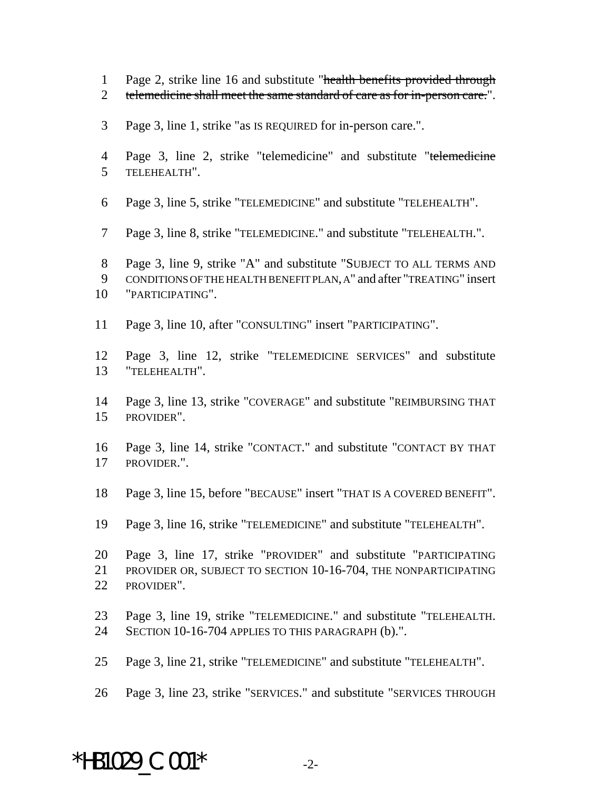- 1 Page 2, strike line 16 and substitute "health benefits provided through
- 2 telemedicine shall meet the same standard of care as for in-person care.".
- Page 3, line 1, strike "as IS REQUIRED for in-person care.".
- Page 3, line 2, strike "telemedicine" and substitute "telemedicine TELEHEALTH".
- Page 3, line 5, strike "TELEMEDICINE" and substitute "TELEHEALTH".
- Page 3, line 8, strike "TELEMEDICINE." and substitute "TELEHEALTH.".
- Page 3, line 9, strike "A" and substitute "SUBJECT TO ALL TERMS AND CONDITIONS OF THE HEALTH BENEFIT PLAN, A" and after "TREATING" insert "PARTICIPATING".
- Page 3, line 10, after "CONSULTING" insert "PARTICIPATING".
- Page 3, line 12, strike "TELEMEDICINE SERVICES" and substitute "TELEHEALTH".
- Page 3, line 13, strike "COVERAGE" and substitute "REIMBURSING THAT PROVIDER".
- Page 3, line 14, strike "CONTACT." and substitute "CONTACT BY THAT PROVIDER.".
- Page 3, line 15, before "BECAUSE" insert "THAT IS A COVERED BENEFIT".
- Page 3, line 16, strike "TELEMEDICINE" and substitute "TELEHEALTH".
- Page 3, line 17, strike "PROVIDER" and substitute "PARTICIPATING PROVIDER OR, SUBJECT TO SECTION 10-16-704, THE NONPARTICIPATING PROVIDER".
- Page 3, line 19, strike "TELEMEDICINE." and substitute "TELEHEALTH. SECTION 10-16-704 APPLIES TO THIS PARAGRAPH (b).".
- Page 3, line 21, strike "TELEMEDICINE" and substitute "TELEHEALTH".
- Page 3, line 23, strike "SERVICES." and substitute "SERVICES THROUGH

## \*HB1029  $C.001*$   $2-$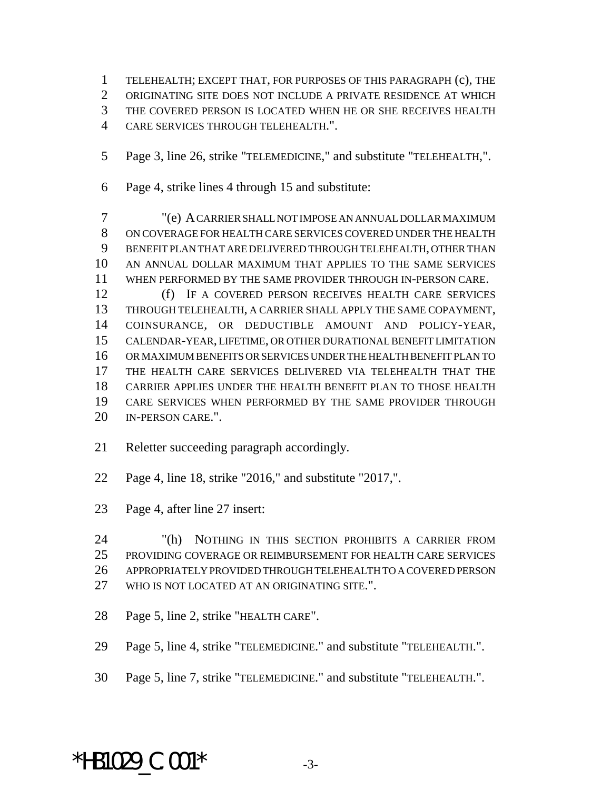TELEHEALTH; EXCEPT THAT, FOR PURPOSES OF THIS PARAGRAPH (c), THE ORIGINATING SITE DOES NOT INCLUDE A PRIVATE RESIDENCE AT WHICH THE COVERED PERSON IS LOCATED WHEN HE OR SHE RECEIVES HEALTH

- CARE SERVICES THROUGH TELEHEALTH.".
- Page 3, line 26, strike "TELEMEDICINE," and substitute "TELEHEALTH,".
- Page 4, strike lines 4 through 15 and substitute:

 "(e) A CARRIER SHALL NOT IMPOSE AN ANNUAL DOLLAR MAXIMUM ON COVERAGE FOR HEALTH CARE SERVICES COVERED UNDER THE HEALTH BENEFIT PLAN THAT ARE DELIVERED THROUGH TELEHEALTH, OTHER THAN AN ANNUAL DOLLAR MAXIMUM THAT APPLIES TO THE SAME SERVICES WHEN PERFORMED BY THE SAME PROVIDER THROUGH IN-PERSON CARE.

 (f) IF A COVERED PERSON RECEIVES HEALTH CARE SERVICES THROUGH TELEHEALTH, A CARRIER SHALL APPLY THE SAME COPAYMENT, COINSURANCE, OR DEDUCTIBLE AMOUNT AND POLICY-YEAR, CALENDAR-YEAR, LIFETIME, OR OTHER DURATIONAL BENEFIT LIMITATION OR MAXIMUM BENEFITS OR SERVICES UNDER THE HEALTH BENEFIT PLAN TO THE HEALTH CARE SERVICES DELIVERED VIA TELEHEALTH THAT THE CARRIER APPLIES UNDER THE HEALTH BENEFIT PLAN TO THOSE HEALTH CARE SERVICES WHEN PERFORMED BY THE SAME PROVIDER THROUGH IN-PERSON CARE.".

- Reletter succeeding paragraph accordingly.
- Page 4, line 18, strike "2016," and substitute "2017,".
- Page 4, after line 27 insert:

 "(h) NOTHING IN THIS SECTION PROHIBITS A CARRIER FROM PROVIDING COVERAGE OR REIMBURSEMENT FOR HEALTH CARE SERVICES APPROPRIATELY PROVIDED THROUGH TELEHEALTH TO A COVERED PERSON WHO IS NOT LOCATED AT AN ORIGINATING SITE.".

- Page 5, line 2, strike "HEALTH CARE".
- Page 5, line 4, strike "TELEMEDICINE." and substitute "TELEHEALTH.".
- Page 5, line 7, strike "TELEMEDICINE." and substitute "TELEHEALTH.".

## \*HB1029  $C.001*$  -3-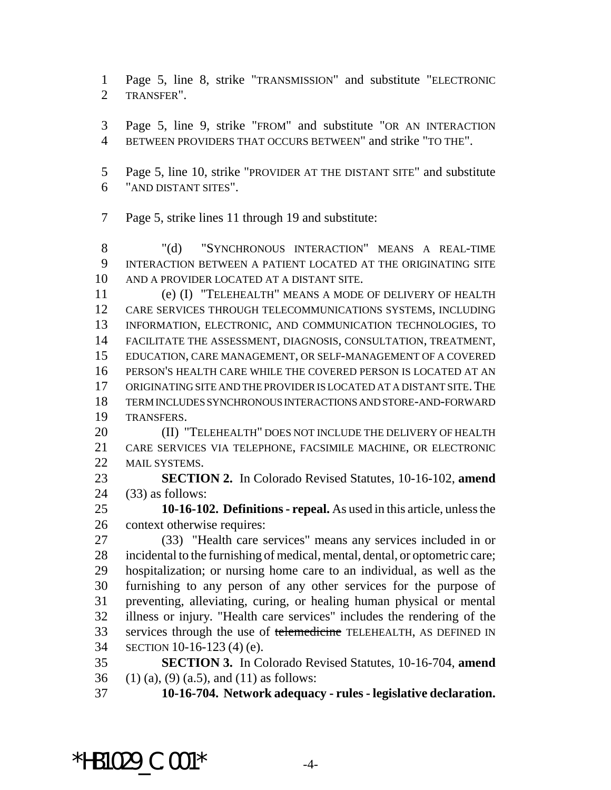Page 5, line 8, strike "TRANSMISSION" and substitute "ELECTRONIC TRANSFER".

 Page 5, line 9, strike "FROM" and substitute "OR AN INTERACTION BETWEEN PROVIDERS THAT OCCURS BETWEEN" and strike "TO THE".

 Page 5, line 10, strike "PROVIDER AT THE DISTANT SITE" and substitute "AND DISTANT SITES".

Page 5, strike lines 11 through 19 and substitute:

8 "(d) "SYNCHRONOUS INTERACTION" MEANS A REAL-TIME INTERACTION BETWEEN A PATIENT LOCATED AT THE ORIGINATING SITE AND A PROVIDER LOCATED AT A DISTANT SITE.

 (e) (I) "TELEHEALTH" MEANS A MODE OF DELIVERY OF HEALTH CARE SERVICES THROUGH TELECOMMUNICATIONS SYSTEMS, INCLUDING INFORMATION, ELECTRONIC, AND COMMUNICATION TECHNOLOGIES, TO FACILITATE THE ASSESSMENT, DIAGNOSIS, CONSULTATION, TREATMENT, EDUCATION, CARE MANAGEMENT, OR SELF-MANAGEMENT OF A COVERED PERSON'S HEALTH CARE WHILE THE COVERED PERSON IS LOCATED AT AN ORIGINATING SITE AND THE PROVIDER IS LOCATED AT A DISTANT SITE.THE TERM INCLUDES SYNCHRONOUS INTERACTIONS AND STORE-AND-FORWARD TRANSFERS.

**(II) "TELEHEALTH" DOES NOT INCLUDE THE DELIVERY OF HEALTH**  CARE SERVICES VIA TELEPHONE, FACSIMILE MACHINE, OR ELECTRONIC 22 MAIL SYSTEMS.

 **SECTION 2.** In Colorado Revised Statutes, 10-16-102, **amend** (33) as follows:

 **10-16-102. Definitions - repeal.** As used in this article, unless the context otherwise requires:

 (33) "Health care services" means any services included in or incidental to the furnishing of medical, mental, dental, or optometric care; hospitalization; or nursing home care to an individual, as well as the furnishing to any person of any other services for the purpose of preventing, alleviating, curing, or healing human physical or mental illness or injury. "Health care services" includes the rendering of the 33 services through the use of telemedicine TELEHEALTH, AS DEFINED IN SECTION 10-16-123 (4) (e).

 **SECTION 3.** In Colorado Revised Statutes, 10-16-704, **amend** 36 (1) (a), (9) (a.5), and (11) as follows:

**10-16-704. Network adequacy - rules - legislative declaration.**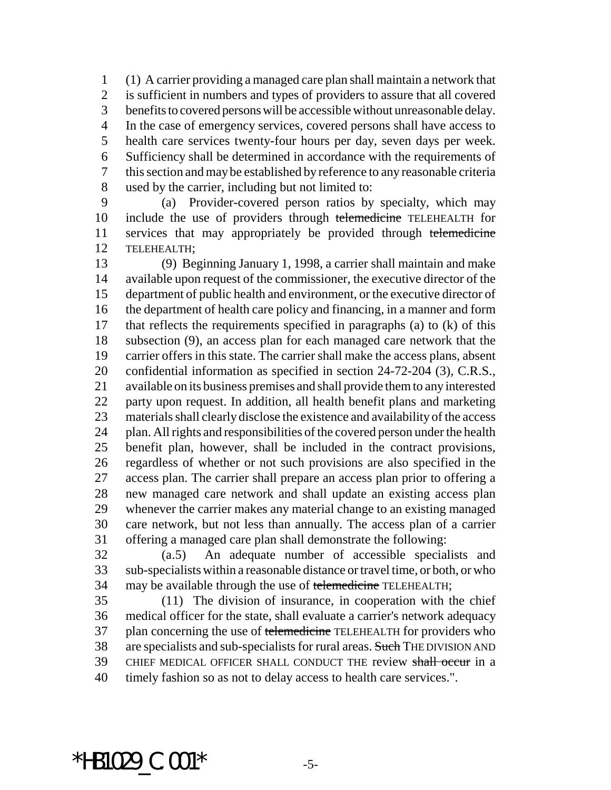(1) A carrier providing a managed care plan shall maintain a network that is sufficient in numbers and types of providers to assure that all covered benefits to covered persons will be accessible without unreasonable delay. In the case of emergency services, covered persons shall have access to health care services twenty-four hours per day, seven days per week. Sufficiency shall be determined in accordance with the requirements of this section and may be established by reference to any reasonable criteria used by the carrier, including but not limited to:

 (a) Provider-covered person ratios by specialty, which may 10 include the use of providers through telemedicine TELEHEALTH for 11 services that may appropriately be provided through telemedicine TELEHEALTH;

 (9) Beginning January 1, 1998, a carrier shall maintain and make available upon request of the commissioner, the executive director of the department of public health and environment, or the executive director of the department of health care policy and financing, in a manner and form that reflects the requirements specified in paragraphs (a) to (k) of this subsection (9), an access plan for each managed care network that the carrier offers in this state. The carrier shall make the access plans, absent confidential information as specified in section 24-72-204 (3), C.R.S., available on its business premises and shall provide them to any interested party upon request. In addition, all health benefit plans and marketing materials shall clearly disclose the existence and availability of the access plan. All rights and responsibilities of the covered person under the health benefit plan, however, shall be included in the contract provisions, regardless of whether or not such provisions are also specified in the access plan. The carrier shall prepare an access plan prior to offering a new managed care network and shall update an existing access plan whenever the carrier makes any material change to an existing managed care network, but not less than annually. The access plan of a carrier offering a managed care plan shall demonstrate the following:

 (a.5) An adequate number of accessible specialists and sub-specialists within a reasonable distance or travel time, or both, or who 34 may be available through the use of telemedicine TELEHEALTH;

 (11) The division of insurance, in cooperation with the chief medical officer for the state, shall evaluate a carrier's network adequacy 37 plan concerning the use of telemedicine TELEHEALTH for providers who 38 are specialists and sub-specialists for rural areas. Such THE DIVISION AND 39 CHIEF MEDICAL OFFICER SHALL CONDUCT THE review shall occur in a timely fashion so as not to delay access to health care services.".